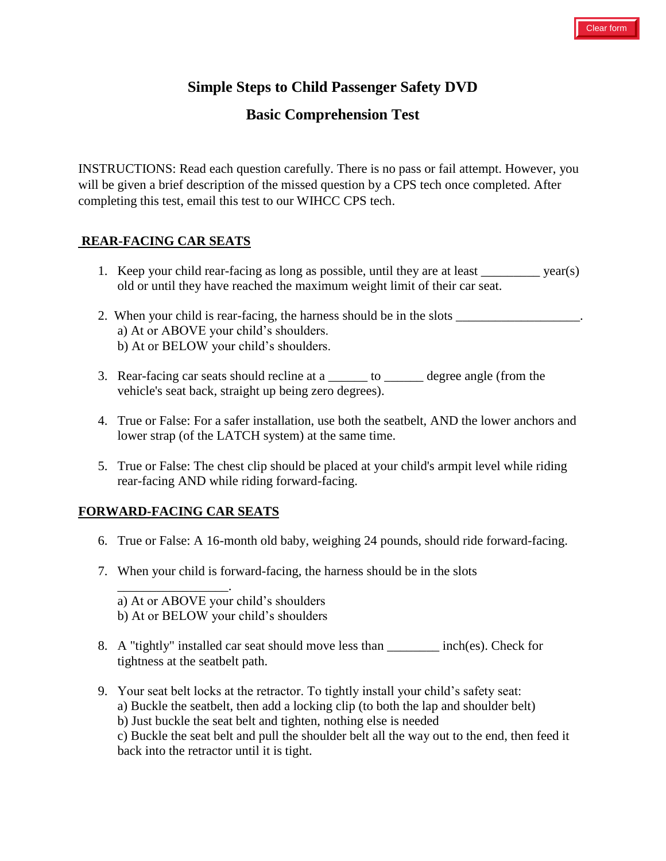# **Simple Steps to Child Passenger Safety DVD**

## **Basic Comprehension Test**

INSTRUCTIONS: Read each question carefully. There is no pass or fail attempt. However, you will be given a brief description of the missed question by a CPS tech once completed. After completing this test, email this test to our WIHCC CPS tech.

### **REAR-FACING CAR SEATS**

- 1. Keep your child rear-facing as long as possible, until they are at least \_\_\_\_\_\_\_\_\_\_\_ year(s) old or until they have reached the maximum weight limit of their car seat.
- 2. When your child is rear-facing, the harness should be in the slots \_\_\_\_\_\_\_\_\_\_\_\_\_\_\_\_\_\_\_. a) At or ABOVE your child's shoulders. b) At or BELOW your child's shoulders.
- 3. Rear-facing car seats should recline at a  $\frac{1}{\sqrt{2}}$  to  $\frac{1}{\sqrt{2}}$  degree angle (from the vehicle's seat back, straight up being zero degrees).
- 4. True or False: For a safer installation, use both the seatbelt, AND the lower anchors and lower strap (of the LATCH system) at the same time.
- 5. True or False: The chest clip should be placed at your child's armpit level while riding rear-facing AND while riding forward-facing.

### **FORWARD-FACING CAR SEATS**

\_\_\_\_\_\_\_\_\_\_\_\_\_\_\_\_\_

- 6. True or False: A 16-month old baby, weighing 24 pounds, should ride forward-facing.
- 7. When your child is forward-facing, the harness should be in the slots

a) At or ABOVE your child's shoulders b) At or BELOW your child's shoulders

.

- 8. A "tightly" installed car seat should move less than \_\_\_\_\_\_\_\_ inch(es). Check for tightness at the seatbelt path.
- 9. Your seat belt locks at the retractor. To tightly install your child's safety seat: a) Buckle the seatbelt, then add a locking clip (to both the lap and shoulder belt) b) Just buckle the seat belt and tighten, nothing else is needed c) Buckle the seat belt and pull the shoulder belt all the way out to the end, then feed it back into the retractor until it is tight.